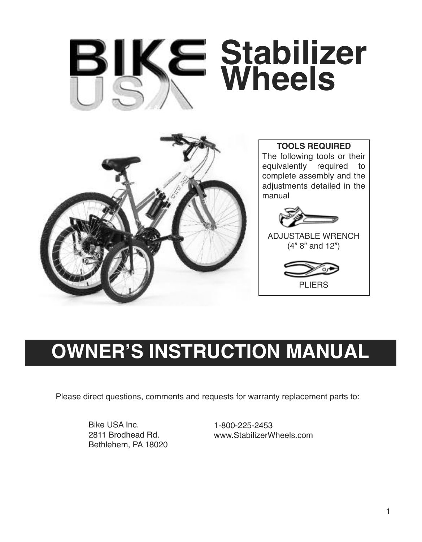# **Stabilizer Wheels**



**TOOLS REQUIRED** The following tools or their equivalently required to complete assembly and the adjustments detailed in the manual



```
ADJUSTABLE WRENCH
(4" 8" and 12")
```


# **OWNER'S INSTRUCTION MANUAL**

Please direct questions, comments and requests for warranty replacement parts to:

Bike USA Inc. 2811 Brodhead Rd. Bethlehem, PA 18020 1-800-225-2453 www.StabilizerWheels.com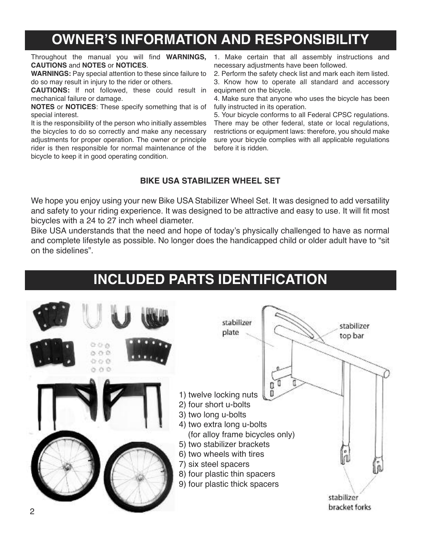# **OWNER'S INFORMATION AND RESPONSIBILITY**

Throughout the manual you will find **WARNINGS, CAUTIONS** and **NOTES** or **NOTICES**.

**WARNINGS:** Pay special attention to these since failure to do so may result in injury to the rider or others.

**CAUTIONS:** If not followed, these could result in mechanical failure or damage.

**NOTES** or **NOTICES**: These specify something that is of special interest.

It is the responsibility of the person who initially assembles the bicycles to do so correctly and make any necessary adjustments for proper operation. The owner or principle rider is then responsible for normal maintenance of the bicycle to keep it in good operating condition.

1. Make certain that all assembly instructions and necessary adjustments have been followed.

2. Perform the safety check list and mark each item listed. 3. Know how to operate all standard and accessory equipment on the bicycle.

4. Make sure that anyone who uses the bicycle has been fully instructed in its operation.

5. Your bicycle conforms to all Federal CPSC regulations. There may be other federal, state or local regulations. restrictions or equipment laws: therefore, you should make sure your bicycle complies with all applicable regulations before it is ridden.

## **BIKE USA STABILIZER WHEEL SET**

We hope you enjoy using your new Bike USA Stabilizer Wheel Set. It was designed to add versatility and safety to your riding experience. It was designed to be attractive and easy to use. It will fit most bicycles with a 24 to 27 inch wheel diameter.

Bike USA understands that the need and hope of today's physically challenged to have as normal and complete lifestyle as possible. No longer does the handicapped child or older adult have to "sit on the sidelines".

## **INCLUDED PARTS IDENTIFICATION**

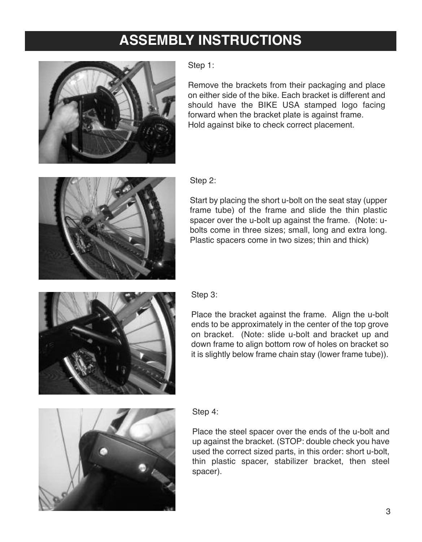# **ASSEMBLY INSTRUCTIONS**



Step 1:

Remove the brackets from their packaging and place on either side of the bike. Each bracket is different and should have the BIKE USA stamped logo facing forward when the bracket plate is against frame. Hold against bike to check correct placement.



Step 2:

Start by placing the short u-bolt on the seat stay (upper frame tube) of the frame and slide the thin plastic spacer over the u-bolt up against the frame. (Note: ubolts come in three sizes; small, long and extra long. Plastic spacers come in two sizes; thin and thick)



Place the bracket against the frame. Align the u-bolt ends to be approximately in the center of the top grove on bracket. (Note: slide u-bolt and bracket up and down frame to align bottom row of holes on bracket so it is slightly below frame chain stay (lower frame tube)).



## Step 4:

Place the steel spacer over the ends of the u-bolt and up against the bracket. (STOP: double check you have used the correct sized parts, in this order: short u-bolt, thin plastic spacer, stabilizer bracket, then steel spacer).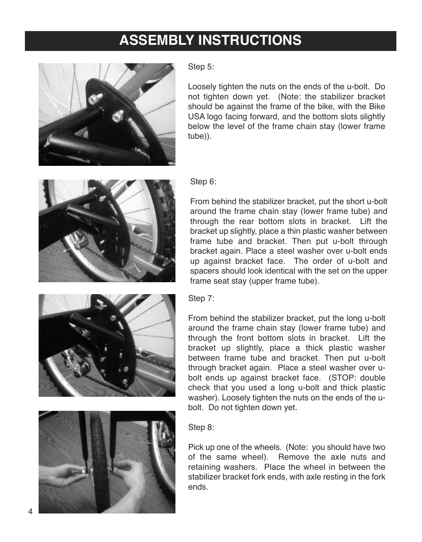# **ASSEMBLY INSTRUCTIONS**



Step 5:

Loosely tighten the nuts on the ends of the u-bolt. Do not tighten down yet. (Note: the stabilizer bracket should be against the frame of the bike, with the Bike USA logo facing forward, and the bottom slots slightly below the level of the frame chain stay (lower frame tube)).



## Step 6:

From behind the stabilizer bracket, put the short u-bolt around the frame chain stay (lower frame tube) and through the rear bottom slots in bracket. Lift the bracket up slightly, place a thin plastic washer between frame tube and bracket. Then put u-bolt through bracket again. Place a steel washer over u-bolt ends up against bracket face. The order of u-bolt and spacers should look identical with the set on the upper frame seat stay (upper frame tube).

## Step 7:

From behind the stabilizer bracket, put the long u-bolt around the frame chain stay (lower frame tube) and through the front bottom slots in bracket. Lift the bracket up slightly, place a thick plastic washer between frame tube and bracket. Then put u-bolt through bracket again. Place a steel washer over ubolt ends up against bracket face. (STOP: double check that you used a long u-bolt and thick plastic washer). Loosely tighten the nuts on the ends of the ubolt. Do not tighten down yet.



## Step 8:

Pick up one of the wheels. (Note: you should have two of the same wheel). Remove the axle nuts and retaining washers. Place the wheel in between the stabilizer bracket fork ends, with axle resting in the fork ends.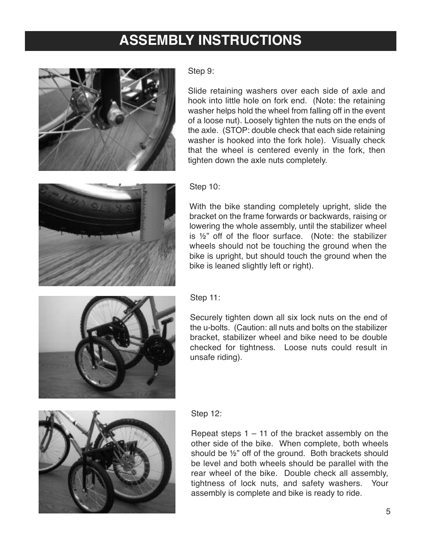# **ASSEMBLY INSTRUCTIONS**



Step 9:

Slide retaining washers over each side of axle and hook into little hole on fork end. (Note: the retaining washer helps hold the wheel from falling off in the event of a loose nut). Loosely tighten the nuts on the ends of the axle. (STOP: double check that each side retaining washer is hooked into the fork hole). Visually check that the wheel is centered evenly in the fork, then tighten down the axle nuts completely.



## Step 10:

With the bike standing completely upright, slide the bracket on the frame forwards or backwards, raising or lowering the whole assembly, until the stabilizer wheel is ½" off of the floor surface. (Note: the stabilizer wheels should not be touching the ground when the bike is upright, but should touch the ground when the bike is leaned slightly left or right).



Securely tighten down all six lock nuts on the end of the u-bolts. (Caution: all nuts and bolts on the stabilizer bracket, stabilizer wheel and bike need to be double checked for tightness. Loose nuts could result in unsafe riding).



## Step 12:

Repeat steps  $1 - 11$  of the bracket assembly on the other side of the bike. When complete, both wheels should be ½" off of the ground. Both brackets should be level and both wheels should be parallel with the rear wheel of the bike. Double check all assembly, tightness of lock nuts, and safety washers. Your assembly is complete and bike is ready to ride.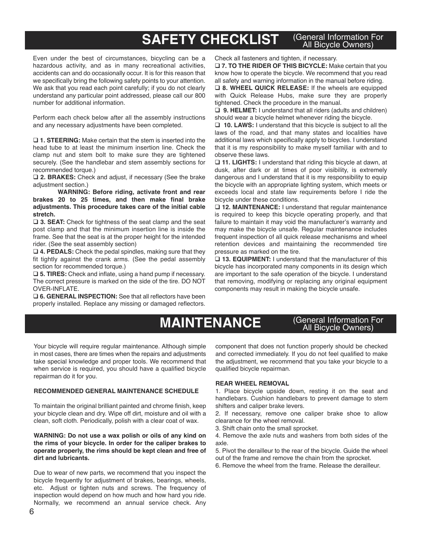#### **SAFETY CHECKLIST** (General Information For All Bicycle Owners)

Even under the best of circumstances, bicycling can be a hazardous activity, and as in many recreational activities, accidents can and do occasionally occur. It is for this reason that we specifically bring the following safety points to your attention. We ask that you read each point carefully; if you do not clearly understand any particular point addressed, please call our 800 number for additional information.

Perform each check below after all the assembly instructions and any necessary adjustments have been completed.

□ 1. **STEERING:** Make certain that the stem is inserted into the head tube to at least the minimum insertion line. Check the clamp nut and stem bolt to make sure they are tightened securely. (See the handlebar and stem assembly sections for recommended torque.)

□ 2. **BRAKES:** Check and adjust, if necessary (See the brake adjustment section.)

**WARNING: Before riding, activate front and rear brakes 20 to 25 times, and then make final brake adjustments. This procedure takes care of the initial cable stretch.**

**□ 3. SEAT:** Check for tightness of the seat clamp and the seat post clamp and that the minimum insertion line is inside the frame. See that the seat is at the proper height for the intended rider. (See the seat assembly section)

□ 4. **PEDALS:** Check the pedal spindles, making sure that they fit tightly against the crank arms. (See the pedal assembly section for recommended torque.)

□ 5. TIRES: Check and inflate, using a hand pump if necessary. The correct pressure is marked on the side of the tire. DO NOT OVER-INFLATE.

□ 6. **GENERAL INSPECTION:** See that all reflectors have been properly installed. Replace any missing or damaged reflectors.

Check all fasteners and tighten, if necessary.

q **7. TO THE RIDER OF THIS BICYCLE:** Make certain that you know how to operate the bicycle. We recommend that you read all safety and warning information in the manual before riding.

q **8. WHEEL QUICK RELEASE:** If the wheels are equipped with Quick Release Hubs, make sure they are properly tightened. Check the procedure in the manual.

□ 9. **HELMET:** I understand that all riders (adults and children) should wear a bicycle helmet whenever riding the bicycle.

□ 10. **LAWS:** I understand that this bicycle is subject to all the laws of the road, and that many states and localities have additional laws which specifically apply to bicycles. I understand that it is my responsibility to make myself familiar with and to observe these laws.

□ 11. **LIGHTS:** I understand that riding this bicycle at dawn, at dusk, after dark or at times of poor visibility, is extremely dangerous and I understand that it is my responsibility to equip the bicycle with an appropriate lighting system, which meets or exceeds local and state law requirements before I ride the bicycle under these conditions.

□ 12. **MAINTENANCE:** I understand that regular maintenance is required to keep this bicycle operating properly, and that failure to maintain it may void the manufacturer's warranty and may make the bicycle unsafe. Regular maintenance includes frequent inspection of all quick release mechanisms and wheel retention devices and maintaining the recommended tire pressure as marked on the tire.

□ 13. **EQUIPMENT:** I understand that the manufacturer of this bicycle has incorporated many components in its design which are important to the safe operation of the bicycle. I understand that removing, modifying or replacing any original equipment components may result in making the bicycle unsafe.

# **MAINTENANCE**

### (General Information For All Bicycle Owners)

Your bicycle will require regular maintenance. Although simple in most cases, there are times when the repairs and adjustments take special knowledge and proper tools. We recommend that when service is required, you should have a qualified bicycle repairman do it for you.

#### **RECOMMENDED GENERAL MAINTENANCE SCHEDULE**

To maintain the original brilliant painted and chrome finish, keep your bicycle clean and dry. Wipe off dirt, moisture and oil with a clean, soft cloth. Periodically, polish with a clear coat of wax.

#### **WARNING: Do not use a wax polish or oils of any kind on the rims of your bicycle. In order for the caliper brakes to operate properly, the rims should be kept clean and free of dirt and lubricants.**

Due to wear of new parts, we recommend that you inspect the bicycle frequently for adjustment of brakes, bearings, wheels, etc. Adjust or tighten nuts and screws. The frequency of inspection would depend on how much and how hard you ride. Normally, we recommend an annual service check. Any

component that does not function properly should be checked and corrected immediately. If you do not feel qualified to make the adjustment, we recommend that you take your bicycle to a qualified bicycle repairman.

#### **REAR WHEEL REMOVAL**

1. Place bicycle upside down, resting it on the seat and handlebars. Cushion handlebars to prevent damage to stem shifters and caliper brake levers.

2. If necessary, remove one caliper brake shoe to allow clearance for the wheel removal.

3. Shift chain onto the small sprocket.

4. Remove the axle nuts and washers from both sides of the axle.

5. Pivot the derailleur to the rear of the bicycle. Guide the wheel out of the frame and remove the chain from the sprocket.

6. Remove the wheel from the frame. Release the derailleur.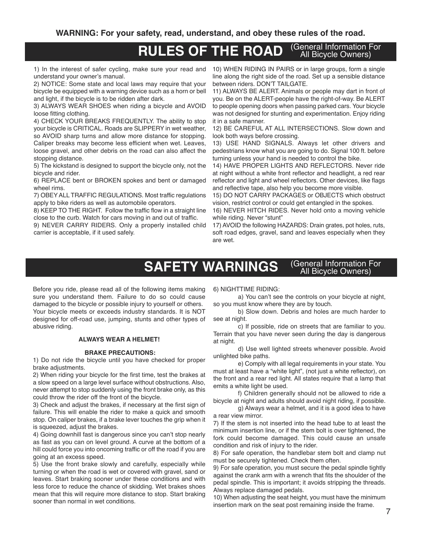#### **RULES OF THE ROAD** (General Information For All Bicycle Owners)

1) In the interest of safer cycling, make sure your read and understand your owner's manual.

2) NOTICE: Some state and local laws may require that your bicycle be equipped with a warning device such as a horn or bell and light, if the bicycle is to be ridden after dark.

3) ALWAYS WEAR SHOES when riding a bicycle and AVOID loose fitting clothing.

4) CHECK YOUR BREAKS FREQUENTLY. The ability to stop your bicycle is CRITICAL. Roads are SLIPPERY in wet weather, so AVOID sharp turns and allow more distance for stopping. Caliper breaks may become less efficient when wet. Leaves, loose gravel, and other debris on the road can also affect the stopping distance.

5) The kickstand is designed to support the bicycle only, not the bicycle and rider.

6) REPLACE bent or BROKEN spokes and bent or damaged wheel rims.

7) OBEYALL TRAFFIC REGULATIONS. Most traffic regulations apply to bike riders as well as automobile operators.

8) KEEP TO THE RIGHT. Follow the traffic flow in a straight line close to the curb. Watch for cars moving in and out of traffic.

9) NEVER CARRY RIDERS. Only a properly installed child carrier is acceptable, if it used safely.

10) WHEN RIDING IN PAIRS or in large groups, form a single line along the right side of the road. Set up a sensible distance between riders. DON'T TAILGATE.

11) ALWAYS BE ALERT. Animals or people may dart in front of you. Be on the ALERT-people have the right-of-way. Be ALERT to people opening doors when passing parked cars. Your bicycle was not designed for stunting and experimentation. Enjoy riding it in a safe manner.

12) BE CAREFUL AT ALL INTERSECTIONS. Slow down and look both ways before crossing.

13) USE HAND SIGNALS. Always let other drivers and pedestrians know what you are going to do. Signal 100 ft. before turning unless your hand is needed to control the bike.

14) HAVE PROPER LIGHTS AND REFLECTORS. Never ride at night without a white front reflector and headlight, a red rear reflector and light and wheel reflectors. Other devices, like flags and reflective tape, also help you become more visible.

15) DO NOT CARRY PACKAGES or OBJECTS which obstruct vision, restrict control or could get entangled in the spokes.

16) NEVER HITCH RIDES. Never hold onto a moving vehicle while riding. Never "stunt"

17) AVOID the following HAZARDS: Drain grates, pot holes, ruts, soft road edges, gravel, sand and leaves especially when they are wet.

#### **SAFETY WARNINGS** (General Information For All Bicycle Owners)

Before you ride, please read all of the following items making sure you understand them. Failure to do so could cause damaged to the bicycle or possible injury to yourself or others. Your bicycle meets or exceeds industry standards. It is NOT designed for off-road use, jumping, stunts and other types of abusive riding.

#### **ALWAYS WEAR A HELMET!**

#### **BRAKE PRECAUTIONS:**

1) Do not ride the bicycle until you have checked for proper brake adjustments.

2) When riding your bicycle for the first time, test the brakes at a slow speed on a large level surface without obstructions. Also, never attempt to stop suddenly using the front brake only, as this could throw the rider off the front of the bicycle.

3) Check and adjust the brakes, if necessary at the first sign of failure. This will enable the rider to make a quick and smooth stop. On caliper brakes, if a brake lever touches the grip when it is squeezed, adjust the brakes.

4) Going downhill fast is dangerous since you can't stop nearly as fast as you can on level ground. A curve at the bottom of a hill could force you into oncoming traffic or off the road if you are going at an excess speed.

5) Use the front brake slowly and carefully, especially while turning or when the road is wet or covered with gravel, sand or leaves. Start braking sooner under these conditions and with less force to reduce the chance of skidding. Wet brakes shoes mean that this will require more distance to stop. Start braking sooner than normal in wet conditions.

6) NIGHTTIME RIDING:

a) You can't see the controls on your bicycle at night, so you must know where they are by touch.

b) Slow down. Debris and holes are much harder to see at night.

c) If possible, ride on streets that are familiar to you. Terrain that you have never seen during the day is dangerous at night.

d) Use well lighted streets whenever possible. Avoid unlighted bike paths.

e) Comply with all legal requirements in your state. You must at least have a "white light", (not just a white reflector), on the front and a rear red light. All states require that a lamp that emits a white light be used.

f) Children generally should not be allowed to ride a bicycle at night and adults should avoid night riding, if possible.

g) Always wear a helmet, and it is a good idea to have a rear view mirror.

7) If the stem is not inserted into the head tube to at least the minimum insertion line, or if the stem bolt is over tightened, the fork could become damaged. This could cause an unsafe condition and risk of injury to the rider.

8) For safe operation, the handlebar stem bolt and clamp nut must be securely tightened. Check them often.

9) For safe operation, you must secure the pedal spindle tightly against the crank arm with a wrench that fits the shoulder of the pedal spindle. This is important; it avoids stripping the threads. Always replace damaged pedals.

10) When adjusting the seat height, you must have the minimum insertion mark on the seat post remaining inside the frame.